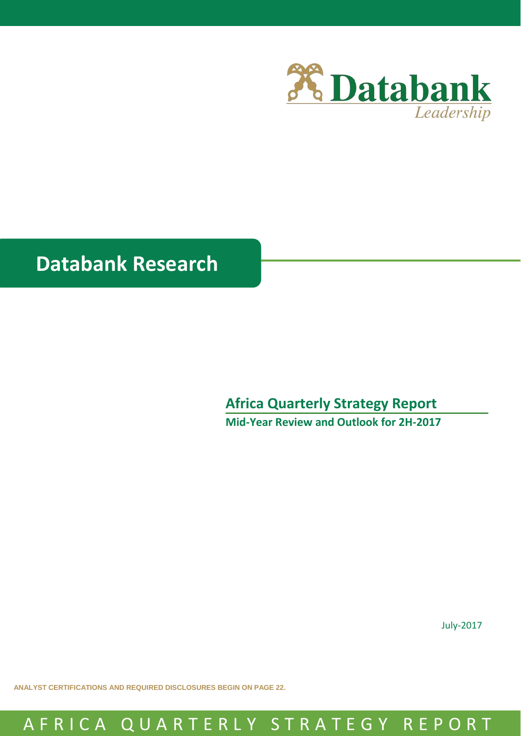

# **Databank Research**

# **Africa Quarterly Strategy Report**

**Mid-Year Review and Outlook for 2H-2017** 

July-2017

**ANALYST CERTIFICATIONS AND REQUIRED DISCLOSURES BEGIN ON PAGE 22.**

# A F R I C A Q U A R T E R L Y S T R A T E G Y R E P O R T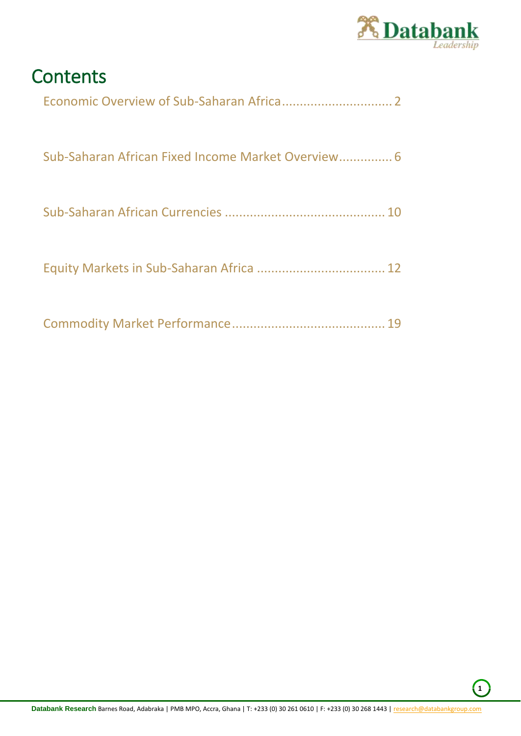

# **Contents**

- [Sub-Saharan African Fixed Income Market Overview...............](#page-6-0) 6
- [Sub-Saharan African Currencies](#page-10-0) ............................................. 10
- [Equity Markets in Sub-Saharan Africa](#page-12-0) .................................... 12
- [Commodity Market Performance...........................................](#page-19-0) 19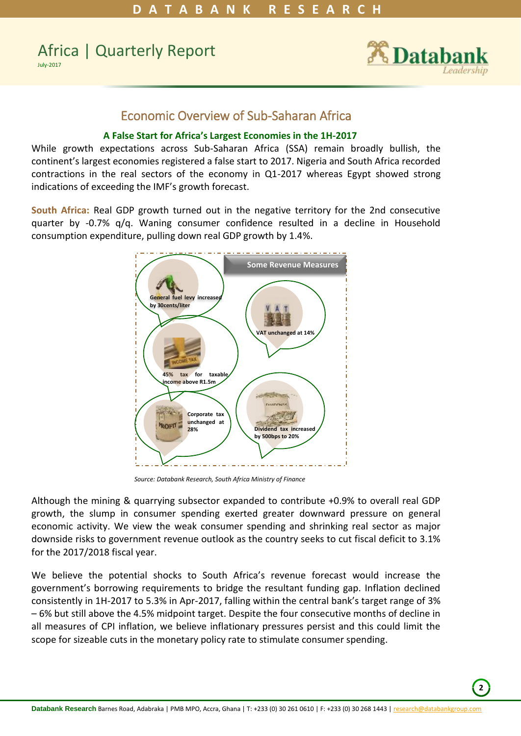# <span id="page-2-0"></span>Africa | Quarterly Report July-2017



# Economic Overview of Sub-Saharan Africa

## **A False Start for Africa's Largest Economies in the 1H-2017**

While growth expectations across Sub-Saharan Africa (SSA) remain broadly bullish, the continent's largest economies registered a false start to 2017. Nigeria and South Africa recorded contractions in the real sectors of the economy in Q1-2017 whereas Egypt showed strong indications of exceeding the IMF's growth forecast.

**South Africa:** Real GDP growth turned out in the negative territory for the 2nd consecutive quarter by -0.7% q/q. Waning consumer confidence resulted in a decline in Household consumption expenditure, pulling down real GDP growth by 1.4%.



*Source: Databank Research, South Africa Ministry of Finance*

Although the mining & quarrying subsector expanded to contribute +0.9% to overall real GDP growth, the slump in consumer spending exerted greater downward pressure on general economic activity. We view the weak consumer spending and shrinking real sector as major downside risks to government revenue outlook as the country seeks to cut fiscal deficit to 3.1% for the 2017/2018 fiscal year.

We believe the potential shocks to South Africa's revenue forecast would increase the government's borrowing requirements to bridge the resultant funding gap. Inflation declined consistently in 1H-2017 to 5.3% in Apr-2017, falling within the central bank's target range of 3% – 6% but still above the 4.5% midpoint target. Despite the four consecutive months of decline in all measures of CPI inflation, we believe inflationary pressures persist and this could limit the scope for sizeable cuts in the monetary policy rate to stimulate consumer spending.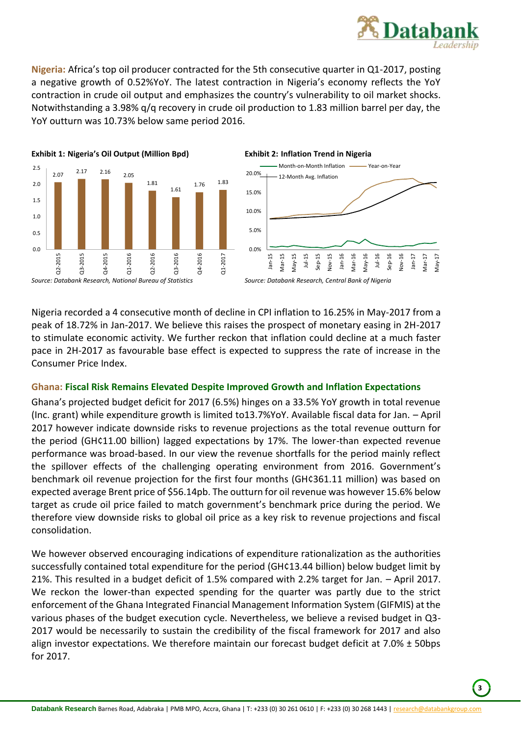

Sep-16 Nov-16 Jan-17 Mar-17 May-17

**Nigeria:** Africa's top oil producer contracted for the 5th consecutive quarter in Q1-2017, posting a negative growth of 0.52%YoY. The latest contraction in Nigeria's economy reflects the YoY contraction in crude oil output and emphasizes the country's vulnerability to oil market shocks. Notwithstanding a 3.98% q/q recovery in crude oil production to 1.83 million barrel per day, the YoY outturn was 10.73% below same period 2016.



Nigeria recorded a 4 consecutive month of decline in CPI inflation to 16.25% in May-2017 from a peak of 18.72% in Jan-2017. We believe this raises the prospect of monetary easing in 2H-2017 to stimulate economic activity. We further reckon that inflation could decline at a much faster pace in 2H-2017 as favourable base effect is expected to suppress the rate of increase in the Consumer Price Index.

## **Ghana: Fiscal Risk Remains Elevated Despite Improved Growth and Inflation Expectations**

Ghana's projected budget deficit for 2017 (6.5%) hinges on a 33.5% YoY growth in total revenue (Inc. grant) while expenditure growth is limited to13.7%YoY. Available fiscal data for Jan. – April 2017 however indicate downside risks to revenue projections as the total revenue outturn for the period (GH¢11.00 billion) lagged expectations by 17%. The lower-than expected revenue performance was broad-based. In our view the revenue shortfalls for the period mainly reflect the spillover effects of the challenging operating environment from 2016. Government's benchmark oil revenue projection for the first four months (GH¢361.11 million) was based on expected average Brent price of \$56.14pb. The outturn for oil revenue was however 15.6% below target as crude oil price failed to match government's benchmark price during the period. We therefore view downside risks to global oil price as a key risk to revenue projections and fiscal consolidation.

We however observed encouraging indications of expenditure rationalization as the authorities successfully contained total expenditure for the period (GH¢13.44 billion) below budget limit by 21%. This resulted in a budget deficit of 1.5% compared with 2.2% target for Jan. – April 2017. We reckon the lower-than expected spending for the quarter was partly due to the strict enforcement of the Ghana Integrated Financial Management Information System (GIFMIS) at the various phases of the budget execution cycle. Nevertheless, we believe a revised budget in Q3- 2017 would be necessarily to sustain the credibility of the fiscal framework for 2017 and also align investor expectations. We therefore maintain our forecast budget deficit at 7.0%  $\pm$  50bps for 2017.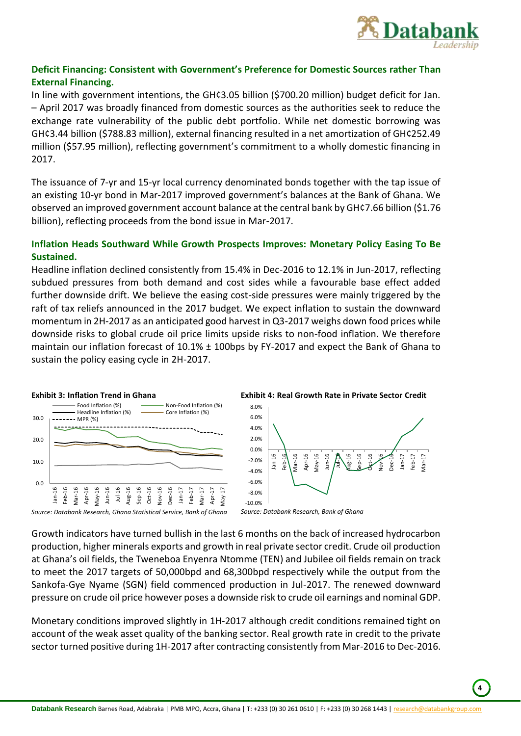

## **Deficit Financing: Consistent with Government's Preference for Domestic Sources rather Than External Financing.**

In line with government intentions, the GH¢3.05 billion (\$700.20 million) budget deficit for Jan. – April 2017 was broadly financed from domestic sources as the authorities seek to reduce the exchange rate vulnerability of the public debt portfolio. While net domestic borrowing was GH¢3.44 billion (\$788.83 million), external financing resulted in a net amortization of GH¢252.49 million (\$57.95 million), reflecting government's commitment to a wholly domestic financing in 2017.

The issuance of 7-yr and 15-yr local currency denominated bonds together with the tap issue of an existing 10-yr bond in Mar-2017 improved government's balances at the Bank of Ghana. We observed an improved government account balance at the central bank by GH¢7.66 billion (\$1.76 billion), reflecting proceeds from the bond issue in Mar-2017.

## **Inflation Heads Southward While Growth Prospects Improves: Monetary Policy Easing To Be Sustained.**

Headline inflation declined consistently from 15.4% in Dec-2016 to 12.1% in Jun-2017, reflecting subdued pressures from both demand and cost sides while a favourable base effect added further downside drift. We believe the easing cost-side pressures were mainly triggered by the raft of tax reliefs announced in the 2017 budget. We expect inflation to sustain the downward momentum in 2H-2017 as an anticipated good harvest in Q3-2017 weighs down food prices while downside risks to global crude oil price limits upside risks to non-food inflation. We therefore maintain our inflation forecast of  $10.1\% \pm 100$  bps by FY-2017 and expect the Bank of Ghana to sustain the policy easing cycle in 2H-2017.



Growth indicators have turned bullish in the last 6 months on the back of increased hydrocarbon production, higher minerals exports and growth in real private sector credit. Crude oil production at Ghana's oil fields, the Tweneboa Enyenra Ntomme (TEN) and Jubilee oil fields remain on track to meet the 2017 targets of 50,000bpd and 68,300bpd respectively while the output from the Sankofa-Gye Nyame (SGN) field commenced production in Jul-2017. The renewed downward pressure on crude oil price however poses a downside risk to crude oil earnings and nominal GDP.

Monetary conditions improved slightly in 1H-2017 although credit conditions remained tight on account of the weak asset quality of the banking sector. Real growth rate in credit to the private sector turned positive during 1H-2017 after contracting consistently from Mar-2016 to Dec-2016.

**4**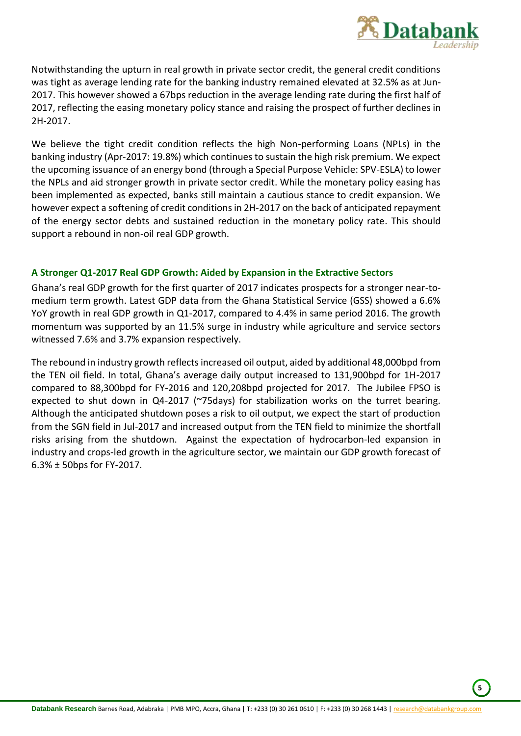

Notwithstanding the upturn in real growth in private sector credit, the general credit conditions was tight as average lending rate for the banking industry remained elevated at 32.5% as at Jun-2017. This however showed a 67bps reduction in the average lending rate during the first half of 2017, reflecting the easing monetary policy stance and raising the prospect of further declines in 2H-2017.

We believe the tight credit condition reflects the high Non-performing Loans (NPLs) in the banking industry (Apr-2017: 19.8%) which continues to sustain the high risk premium. We expect the upcoming issuance of an energy bond (through a Special Purpose Vehicle: SPV-ESLA) to lower the NPLs and aid stronger growth in private sector credit. While the monetary policy easing has been implemented as expected, banks still maintain a cautious stance to credit expansion. We however expect a softening of credit conditions in 2H-2017 on the back of anticipated repayment of the energy sector debts and sustained reduction in the monetary policy rate. This should support a rebound in non-oil real GDP growth.

## **A Stronger Q1-2017 Real GDP Growth: Aided by Expansion in the Extractive Sectors**

Ghana's real GDP growth for the first quarter of 2017 indicates prospects for a stronger near-tomedium term growth. Latest GDP data from the Ghana Statistical Service (GSS) showed a 6.6% YoY growth in real GDP growth in Q1-2017, compared to 4.4% in same period 2016. The growth momentum was supported by an 11.5% surge in industry while agriculture and service sectors witnessed 7.6% and 3.7% expansion respectively.

The rebound in industry growth reflects increased oil output, aided by additional 48,000bpd from the TEN oil field. In total, Ghana's average daily output increased to 131,900bpd for 1H-2017 compared to 88,300bpd for FY-2016 and 120,208bpd projected for 2017. The Jubilee FPSO is expected to shut down in Q4-2017 (~75days) for stabilization works on the turret bearing. Although the anticipated shutdown poses a risk to oil output, we expect the start of production from the SGN field in Jul-2017 and increased output from the TEN field to minimize the shortfall risks arising from the shutdown. Against the expectation of hydrocarbon-led expansion in industry and crops-led growth in the agriculture sector, we maintain our GDP growth forecast of 6.3% ± 50bps for FY-2017.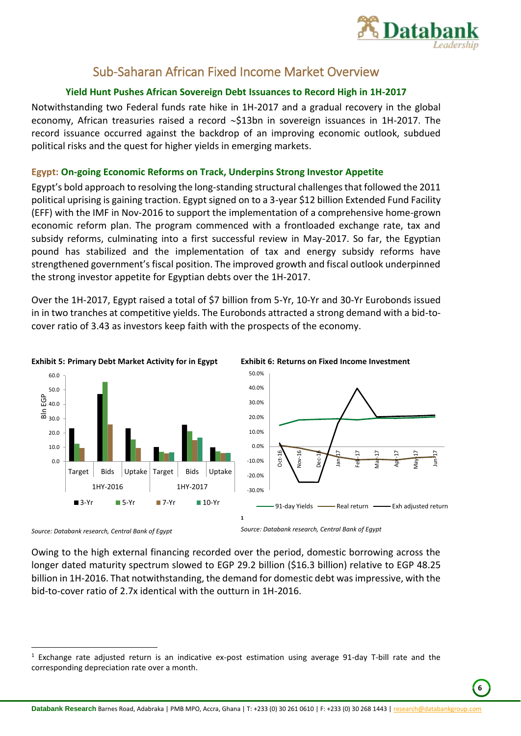

# Sub-Saharan African Fixed Income Market Overview

## **Yield Hunt Pushes African Sovereign Debt Issuances to Record High in 1H-2017**

<span id="page-6-0"></span>Notwithstanding two Federal funds rate hike in 1H-2017 and a gradual recovery in the global economy, African treasuries raised a record  $\sim$ \$13bn in sovereign issuances in 1H-2017. The record issuance occurred against the backdrop of an improving economic outlook, subdued political risks and the quest for higher yields in emerging markets.

## **Egypt: On-going Economic Reforms on Track, Underpins Strong Investor Appetite**

Egypt's bold approach to resolving the long-standing structural challenges that followed the 2011 political uprising is gaining traction. Egypt signed on to a 3-year \$12 billion Extended Fund Facility (EFF) with the IMF in Nov-2016 to support the implementation of a comprehensive home-grown economic reform plan. The program commenced with a frontloaded exchange rate, tax and subsidy reforms, culminating into a first successful review in May-2017. So far, the Egyptian pound has stabilized and the implementation of tax and energy subsidy reforms have strengthened government's fiscal position. The improved growth and fiscal outlook underpinned the strong investor appetite for Egyptian debts over the 1H-2017.

Over the 1H-2017, Egypt raised a total of \$7 billion from 5-Yr, 10-Yr and 30-Yr Eurobonds issued in in two tranches at competitive yields. The Eurobonds attracted a strong demand with a bid-tocover ratio of 3.43 as investors keep faith with the prospects of the economy.





1

*Source: Databank research, Central Bank of Egypt* 

Owing to the high external financing recorded over the period, domestic borrowing across the longer dated maturity spectrum slowed to EGP 29.2 billion (\$16.3 billion) relative to EGP 48.25 billion in 1H-2016. That notwithstanding, the demand for domestic debt was impressive, with the bid-to-cover ratio of 2.7x identical with the outturn in 1H-2016.

 $1$  Exchange rate adjusted return is an indicative ex-post estimation using average 91-day T-bill rate and the corresponding depreciation rate over a month.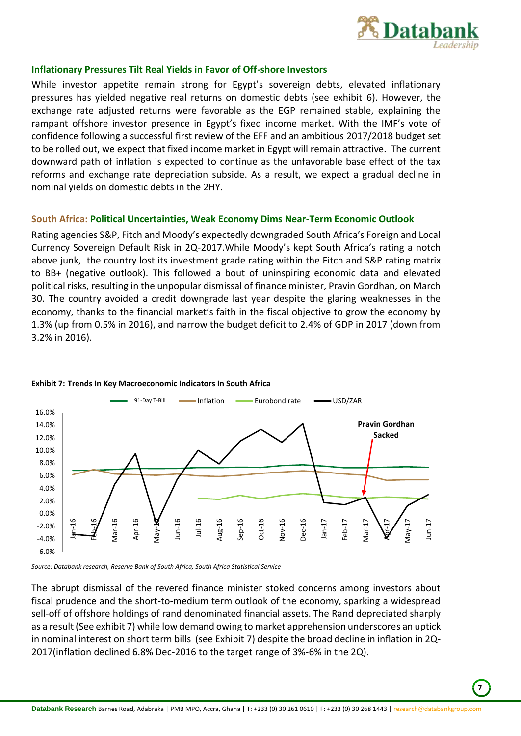

#### **Inflationary Pressures Tilt Real Yields in Favor of Off-shore Investors**

While investor appetite remain strong for Egypt's sovereign debts, elevated inflationary pressures has yielded negative real returns on domestic debts (see exhibit 6). However, the exchange rate adjusted returns were favorable as the EGP remained stable, explaining the rampant offshore investor presence in Egypt's fixed income market. With the IMF's vote of confidence following a successful first review of the EFF and an ambitious 2017/2018 budget set to be rolled out, we expect that fixed income market in Egypt will remain attractive. The current downward path of inflation is expected to continue as the unfavorable base effect of the tax reforms and exchange rate depreciation subside. As a result, we expect a gradual decline in nominal yields on domestic debts in the 2HY.

#### **South Africa: Political Uncertainties, Weak Economy Dims Near-Term Economic Outlook**

Rating agencies S&P, Fitch and Moody's expectedly downgraded South Africa's Foreign and Local Currency Sovereign Default Risk in 2Q-2017.While Moody's kept South Africa's rating a notch above junk, the country lost its investment grade rating within the Fitch and S&P rating matrix to BB+ (negative outlook). This followed a bout of uninspiring economic data and elevated political risks, resulting in the unpopular dismissal of finance minister, Pravin Gordhan, on March 30. The country avoided a credit downgrade last year despite the glaring weaknesses in the economy, thanks to the financial market's faith in the fiscal objective to grow the economy by 1.3% (up from 0.5% in 2016), and narrow the budget deficit to 2.4% of GDP in 2017 (down from 3.2% in 2016).



#### **Exhibit 7: Trends In Key Macroeconomic Indicators In South Africa**

*Source: Databank research, Reserve Bank of South Africa, South Africa Statistical Service* 

The abrupt dismissal of the revered finance minister stoked concerns among investors about fiscal prudence and the short-to-medium term outlook of the economy, sparking a widespread sell-off of offshore holdings of rand denominated financial assets. The Rand depreciated sharply as a result (See exhibit 7) while low demand owing to market apprehension underscores an uptick in nominal interest on short term bills (see Exhibit 7) despite the broad decline in inflation in 2Q-2017(inflation declined 6.8% Dec-2016 to the target range of 3%-6% in the 2Q).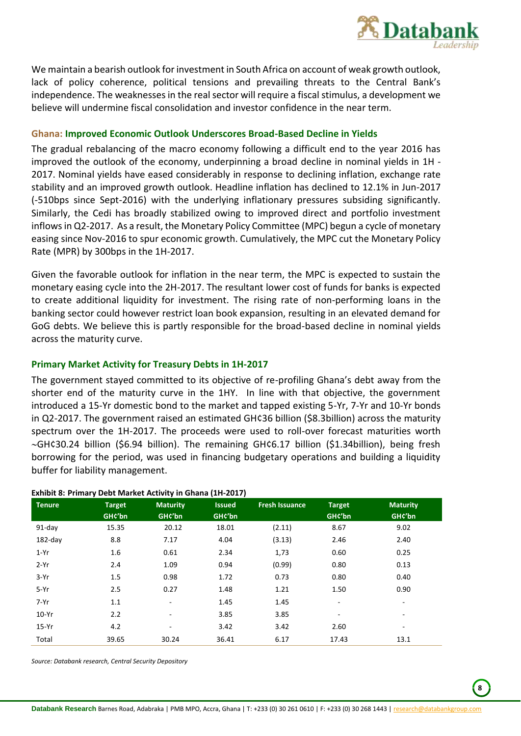

We maintain a bearish outlook for investment in South Africa on account of weak growth outlook, lack of policy coherence, political tensions and prevailing threats to the Central Bank's independence. The weaknesses in the real sector will require a fiscal stimulus, a development we believe will undermine fiscal consolidation and investor confidence in the near term.

### **Ghana: Improved Economic Outlook Underscores Broad-Based Decline in Yields**

The gradual rebalancing of the macro economy following a difficult end to the year 2016 has improved the outlook of the economy, underpinning a broad decline in nominal yields in 1H - 2017. Nominal yields have eased considerably in response to declining inflation, exchange rate stability and an improved growth outlook. Headline inflation has declined to 12.1% in Jun-2017 (-510bps since Sept-2016) with the underlying inflationary pressures subsiding significantly. Similarly, the Cedi has broadly stabilized owing to improved direct and portfolio investment inflows in Q2-2017. As a result, the Monetary Policy Committee (MPC) begun a cycle of monetary easing since Nov-2016 to spur economic growth. Cumulatively, the MPC cut the Monetary Policy Rate (MPR) by 300bps in the 1H-2017.

Given the favorable outlook for inflation in the near term, the MPC is expected to sustain the monetary easing cycle into the 2H-2017. The resultant lower cost of funds for banks is expected to create additional liquidity for investment. The rising rate of non-performing loans in the banking sector could however restrict loan book expansion, resulting in an elevated demand for GoG debts. We believe this is partly responsible for the broad-based decline in nominal yields across the maturity curve.

#### **Primary Market Activity for Treasury Debts in 1H-2017**

The government stayed committed to its objective of re-profiling Ghana's debt away from the shorter end of the maturity curve in the 1HY. In line with that objective, the government introduced a 15-Yr domestic bond to the market and tapped existing 5-Yr, 7-Yr and 10-Yr bonds in Q2-2017. The government raised an estimated GH¢36 billion (\$8.3billion) across the maturity spectrum over the 1H-2017. The proceeds were used to roll-over forecast maturities worth GH¢30.24 billion (\$6.94 billion). The remaining GH¢6.17 billion (\$1.34billion), being fresh borrowing for the period, was used in financing budgetary operations and building a liquidity buffer for liability management.

| <b>Tenure</b> | <b>Target</b> | <b>Maturity</b> | <b>Issued</b> | <b>Fresh Issuance</b> | <b>Target</b> | <b>Maturity</b> |  |
|---------------|---------------|-----------------|---------------|-----------------------|---------------|-----------------|--|
|               | GH¢'bn        | GH¢'bn          | GH¢'bn        |                       | GH¢'bn        | GH¢'bn          |  |
| $91$ -day     | 15.35         | 20.12           | 18.01         | (2.11)                | 8.67          | 9.02            |  |
| $182$ -day    | 8.8           | 7.17            | 4.04          | (3.13)                | 2.46          | 2.40            |  |
| $1-Yr$        | 1.6           | 0.61            | 2.34          | 1,73                  | 0.60          | 0.25            |  |
| $2-Yr$        | 2.4           | 1.09            | 0.94          | (0.99)                | 0.80          | 0.13            |  |
| $3-Yr$        | 1.5           | 0.98            | 1.72          | 0.73                  | 0.80          | 0.40            |  |
| $5-Yr$        | 2.5           | 0.27            | 1.48          | 1.21                  | 1.50          | 0.90            |  |
| $7-Yr$        | 1.1           | ٠               | 1.45          | 1.45                  | ٠             | ۰               |  |
| $10-Yr$       | 2.2           | ٠               | 3.85          | 3.85                  | ۰             |                 |  |
| $15-Yr$       | 4.2           | ٠               | 3.42          | 3.42                  | 2.60          | -               |  |
| Total         | 39.65         | 30.24           | 36.41         | 6.17                  | 17.43         | 13.1            |  |

#### **Exhibit 8: Primary Debt Market Activity in Ghana (1H-2017)**

*Source: Databank research, Central Security Depository*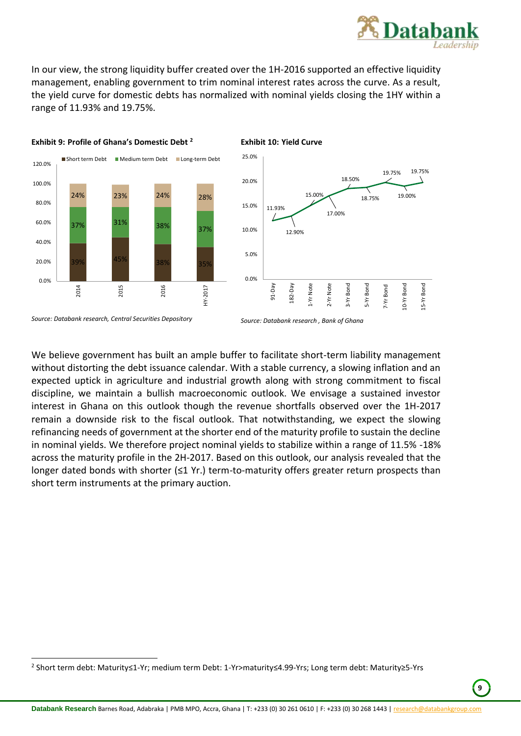

In our view, the strong liquidity buffer created over the 1H-2016 supported an effective liquidity management, enabling government to trim nominal interest rates across the curve. As a result, the yield curve for domestic debts has normalized with nominal yields closing the 1HY within a range of 11.93% and 19.75%.

**Exhibit 10: Yield Curve** 







*Source: Databank research, Central Securities Depository*

*Source: Databank research , Bank of Ghana* 

We believe government has built an ample buffer to facilitate short-term liability management without distorting the debt issuance calendar. With a stable currency, a slowing inflation and an expected uptick in agriculture and industrial growth along with strong commitment to fiscal discipline, we maintain a bullish macroeconomic outlook. We envisage a sustained investor interest in Ghana on this outlook though the revenue shortfalls observed over the 1H-2017 remain a downside risk to the fiscal outlook. That notwithstanding, we expect the slowing refinancing needs of government at the shorter end of the maturity profile to sustain the decline in nominal yields. We therefore project nominal yields to stabilize within a range of 11.5% -18% across the maturity profile in the 2H-2017. Based on this outlook, our analysis revealed that the longer dated bonds with shorter (≤1 Yr.) term-to-maturity offers greater return prospects than short term instruments at the primary auction.

**<sup>.</sup>** 2 Short term debt: Maturity≤1-Yr; medium term Debt: 1-Yr>maturity≤4.99-Yrs; Long term debt: Maturity≥5-Yrs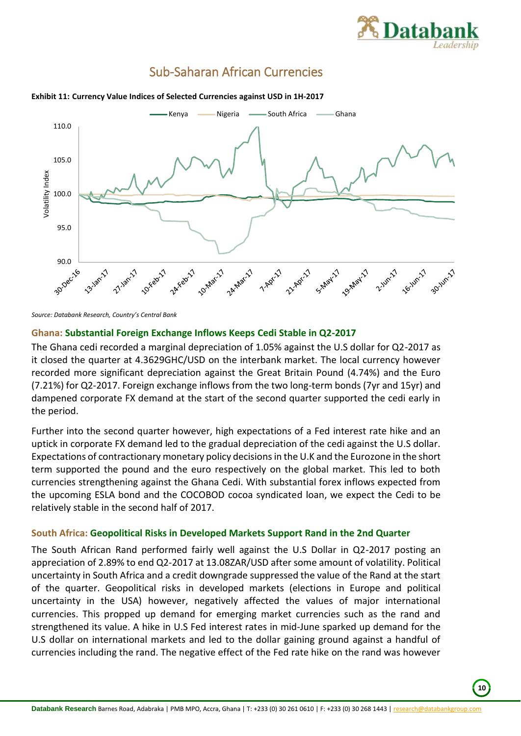

# <span id="page-10-0"></span>Sub-Saharan African Currencies



#### **Exhibit 11: Currency Value Indices of Selected Currencies against USD in 1H-2017**

*Source: Databank Research, Country's Central Bank*

#### **Ghana: Substantial Foreign Exchange Inflows Keeps Cedi Stable in Q2-2017**

The Ghana cedi recorded a marginal depreciation of 1.05% against the U.S dollar for Q2-2017 as it closed the quarter at 4.3629GHC/USD on the interbank market. The local currency however recorded more significant depreciation against the Great Britain Pound (4.74%) and the Euro (7.21%) for Q2-2017. Foreign exchange inflows from the two long-term bonds (7yr and 15yr) and dampened corporate FX demand at the start of the second quarter supported the cedi early in the period.

Further into the second quarter however, high expectations of a Fed interest rate hike and an uptick in corporate FX demand led to the gradual depreciation of the cedi against the U.S dollar. Expectations of contractionary monetary policy decisions in the U.K and the Eurozone in the short term supported the pound and the euro respectively on the global market. This led to both currencies strengthening against the Ghana Cedi. With substantial forex inflows expected from the upcoming ESLA bond and the COCOBOD cocoa syndicated loan, we expect the Cedi to be relatively stable in the second half of 2017.

#### **South Africa: Geopolitical Risks in Developed Markets Support Rand in the 2nd Quarter**

The South African Rand performed fairly well against the U.S Dollar in Q2-2017 posting an appreciation of 2.89% to end Q2-2017 at 13.08ZAR/USD after some amount of volatility. Political uncertainty in South Africa and a credit downgrade suppressed the value of the Rand at the start of the quarter. Geopolitical risks in developed markets (elections in Europe and political uncertainty in the USA) however, negatively affected the values of major international currencies. This propped up demand for emerging market currencies such as the rand and strengthened its value. A hike in U.S Fed interest rates in mid-June sparked up demand for the U.S dollar on international markets and led to the dollar gaining ground against a handful of currencies including the rand. The negative effect of the Fed rate hike on the rand was however

**10**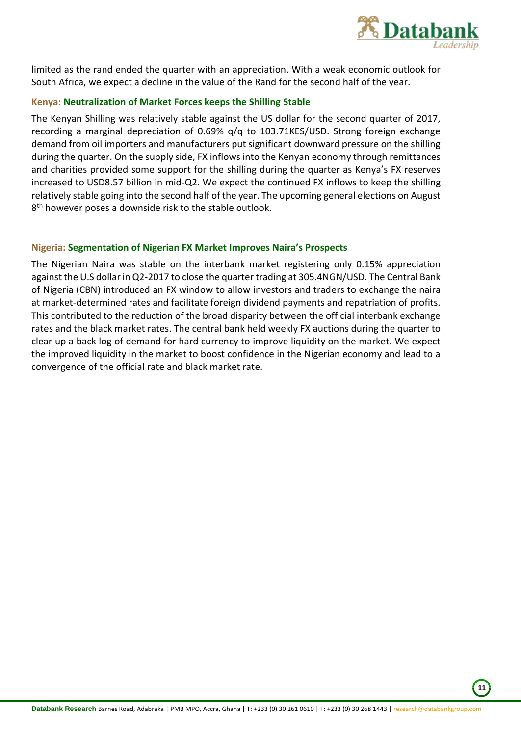

limited as the rand ended the quarter with an appreciation. With a weak economic outlook for South Africa, we expect a decline in the value of the Rand for the second half of the year.

### **Kenya: Neutralization of Market Forces keeps the Shilling Stable**

The Kenyan Shilling was relatively stable against the US dollar for the second quarter of 2017, recording a marginal depreciation of 0.69% q/q to 103.71KES/USD. Strong foreign exchange demand from oil importers and manufacturers put significant downward pressure on the shilling during the quarter. On the supply side, FX inflows into the Kenyan economy through remittances and charities provided some support for the shilling during the quarter as Kenya's FX reserves increased to USD8.57 billion in mid-Q2. We expect the continued FX inflows to keep the shilling relatively stable going into the second half of the year. The upcoming general elections on August 8<sup>th</sup> however poses a downside risk to the stable outlook.

#### **Nigeria: Segmentation of Nigerian FX Market Improves Naira's Prospects**

The Nigerian Naira was stable on the interbank market registering only 0.15% appreciation against the U.S dollar in Q2-2017 to close the quarter trading at 305.4NGN/USD. The Central Bank of Nigeria (CBN) introduced an FX window to allow investors and traders to exchange the naira at market-determined rates and facilitate foreign dividend payments and repatriation of profits. This contributed to the reduction of the broad disparity between the official interbank exchange rates and the black market rates. The central bank held weekly FX auctions during the quarter to clear up a back log of demand for hard currency to improve liquidity on the market. We expect the improved liquidity in the market to boost confidence in the Nigerian economy and lead to a convergence of the official rate and black market rate.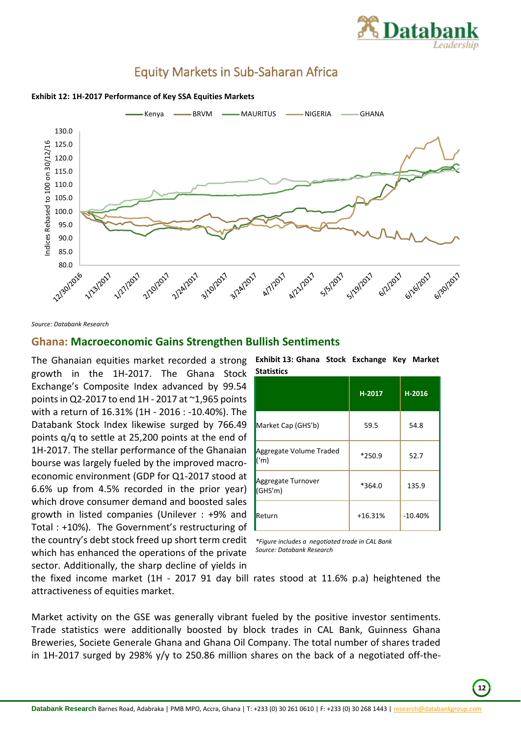

# Equity Markets in Sub-Saharan Africa



<span id="page-12-0"></span>**Exhibit 12: 1H-2017 Performance of Key SSA Equities Markets**

*Source: Databank Research*

## **Ghana: Macroeconomic Gains Strengthen Bullish Sentiments**

The Ghanaian equities market recorded a strong growth in the 1H-2017. The Ghana Stock Exchange's Composite Index advanced by 99.54 points in Q2-2017 to end 1H - 2017 at ~1,965 points with a return of 16.31% (1H - 2016 : -10.40%). The Databank Stock Index likewise surged by 766.49 points q/q to settle at 25,200 points at the end of 1H-2017. The stellar performance of the Ghanaian bourse was largely fueled by the improved macroeconomic environment (GDP for Q1-2017 stood at 6.6% up from 4.5% recorded in the prior year) which drove consumer demand and boosted sales growth in listed companies (Unilever : +9% and Total : +10%). The Government's restructuring of the country's debt stock freed up short term credit which has enhanced the operations of the private sector. Additionally, the sharp decline of yields in

| Exhibit 13: Ghana Stock Exchange Key Market |  |  |
|---------------------------------------------|--|--|
| <b>Statistics</b>                           |  |  |
|                                             |  |  |

|                                 | H-2017    | H-2016    |
|---------------------------------|-----------|-----------|
| Market Cap (GHS'b)              | 59.5      | 54.8      |
| Aggregate Volume Traded<br>('m) | *250.9    | 52.7      |
| Aggregate Turnover<br>(GHS'm)   | *364.0    | 135.9     |
| Return                          | $+16.31%$ | $-10.40%$ |

*\*Figure includes a negotiated trade in CAL Bank Source: Databank Research*

the fixed income market (1H - 2017 91 day bill rates stood at 11.6% p.a) heightened the attractiveness of equities market.

Market activity on the GSE was generally vibrant fueled by the positive investor sentiments. Trade statistics were additionally boosted by block trades in CAL Bank, Guinness Ghana Breweries, Societe Generale Ghana and Ghana Oil Company. The total number of shares traded in 1H-2017 surged by 298% y/y to 250.86 million shares on the back of a negotiated off-the-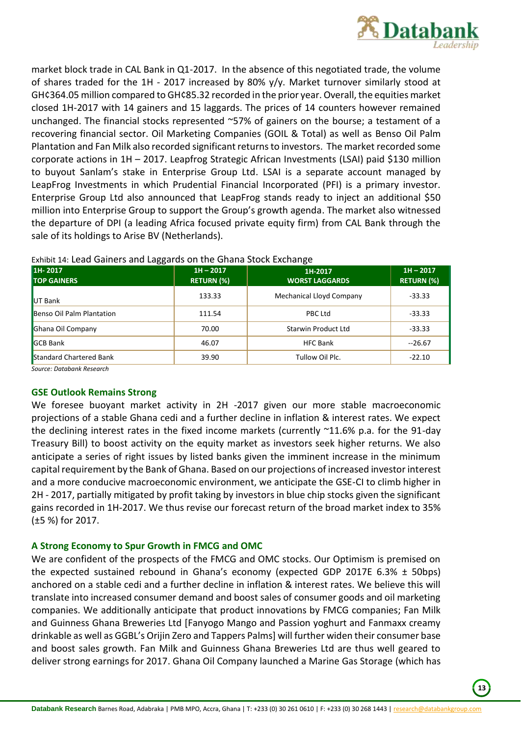

market block trade in CAL Bank in Q1-2017. In the absence of this negotiated trade, the volume of shares traded for the 1H - 2017 increased by 80% y/y. Market turnover similarly stood at GH¢364.05 million compared to GH¢85.32 recorded in the prior year. Overall, the equities market closed 1H-2017 with 14 gainers and 15 laggards. The prices of 14 counters however remained unchanged. The financial stocks represented ~57% of gainers on the bourse; a testament of a recovering financial sector. Oil Marketing Companies (GOIL & Total) as well as Benso Oil Palm Plantation and Fan Milk also recorded significant returns to investors. The market recorded some corporate actions in 1H – 2017. Leapfrog Strategic African Investments (LSAI) paid \$130 million to buyout Sanlam's stake in Enterprise Group Ltd. LSAI is a separate account managed by LeapFrog Investments in which Prudential Financial Incorporated (PFI) is a primary investor. Enterprise Group Ltd also announced that LeapFrog stands ready to inject an additional \$50 million into Enterprise Group to support the Group's growth agenda. The market also witnessed the departure of DPI (a leading Africa focused private equity firm) from CAL Bank through the sale of its holdings to Arise BV (Netherlands).

| 1H-2017<br><b>TOP GAINERS</b>  | $1H - 2017$<br><b>RETURN (%)</b> | 1H-2017<br><b>WORST LAGGARDS</b> | $1H - 2017$<br><b>RETURN (%)</b> |
|--------------------------------|----------------------------------|----------------------------------|----------------------------------|
| UT Bank                        | 133.33                           | <b>Mechanical Lloyd Company</b>  | $-33.33$                         |
| Benso Oil Palm Plantation      | 111.54                           | PBC Ltd                          | $-33.33$                         |
| Ghana Oil Company              | 70.00                            | <b>Starwin Product Ltd</b>       | $-33.33$                         |
| <b>GCB Bank</b>                | 46.07                            | <b>HFC Bank</b>                  | $-26.67$                         |
| <b>Standard Chartered Bank</b> | 39.90                            | Tullow Oil Plc.                  | $-22.10$                         |

#### Exhibit 14: Lead Gainers and Laggards on the Ghana Stock Exchange

*Source: Databank Research*

#### **GSE Outlook Remains Strong**

We foresee buoyant market activity in 2H -2017 given our more stable macroeconomic projections of a stable Ghana cedi and a further decline in inflation & interest rates. We expect the declining interest rates in the fixed income markets (currently ~11.6% p.a. for the 91-day Treasury Bill) to boost activity on the equity market as investors seek higher returns. We also anticipate a series of right issues by listed banks given the imminent increase in the minimum capital requirement by the Bank of Ghana. Based on our projections of increased investor interest and a more conducive macroeconomic environment, we anticipate the GSE-CI to climb higher in 2H - 2017, partially mitigated by profit taking by investors in blue chip stocks given the significant gains recorded in 1H-2017. We thus revise our forecast return of the broad market index to 35% (±5 %) for 2017.

#### **A Strong Economy to Spur Growth in FMCG and OMC**

We are confident of the prospects of the FMCG and OMC stocks. Our Optimism is premised on the expected sustained rebound in Ghana's economy (expected GDP 2017E 6.3%  $\pm$  50bps) anchored on a stable cedi and a further decline in inflation & interest rates. We believe this will translate into increased consumer demand and boost sales of consumer goods and oil marketing companies. We additionally anticipate that product innovations by FMCG companies; Fan Milk and Guinness Ghana Breweries Ltd [Fanyogo Mango and Passion yoghurt and Fanmaxx creamy drinkable as well as GGBL's Orijin Zero and Tappers Palms] will further widen their consumer base and boost sales growth. Fan Milk and Guinness Ghana Breweries Ltd are thus well geared to deliver strong earnings for 2017. Ghana Oil Company launched a Marine Gas Storage (which has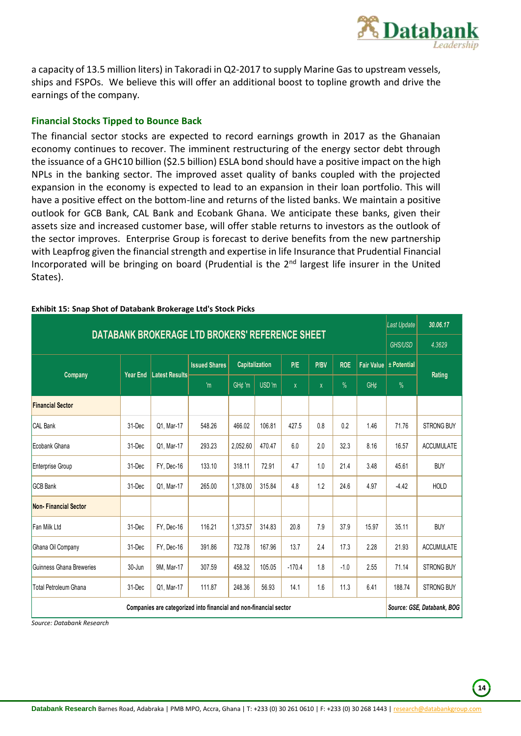

a capacity of 13.5 million liters) in Takoradi in Q2-2017 to supply Marine Gas to upstream vessels, ships and FSPOs. We believe this will offer an additional boost to topline growth and drive the earnings of the company.

#### **Financial Stocks Tipped to Bounce Back**

The financial sector stocks are expected to record earnings growth in 2017 as the Ghanaian economy continues to recover. The imminent restructuring of the energy sector debt through the issuance of a GH¢10 billion (\$2.5 billion) ESLA bond should have a positive impact on the high NPLs in the banking sector. The improved asset quality of banks coupled with the projected expansion in the economy is expected to lead to an expansion in their loan portfolio. This will have a positive effect on the bottom-line and returns of the listed banks. We maintain a positive outlook for GCB Bank, CAL Bank and Ecobank Ghana. We anticipate these banks, given their assets size and increased customer base, will offer stable returns to investors as the outlook of the sector improves. Enterprise Group is forecast to derive benefits from the new partnership with Leapfrog given the financial strength and expertise in life Insurance that Prudential Financial Incorporated will be bringing on board (Prudential is the  $2<sup>nd</sup>$  largest life insurer in the United States).

|                                                                                                 |                 |                       |                      |                |        |              | Last Update        | 30.06.17   |                |                        |                   |
|-------------------------------------------------------------------------------------------------|-----------------|-----------------------|----------------------|----------------|--------|--------------|--------------------|------------|----------------|------------------------|-------------------|
| DATABANK BROKERAGE LTD BROKERS' REFERENCE SHEET                                                 |                 |                       |                      |                |        |              |                    |            | <b>GHS/USD</b> | 4.3629                 |                   |
|                                                                                                 |                 |                       | <b>Issued Shares</b> | Capitalization |        | P/E          | P/BV               | <b>ROE</b> |                | Fair Value ± Potential |                   |
| Company                                                                                         | <b>Year End</b> | <b>Latest Results</b> | 'm                   | GH¢ 'm         | USD 'm | $\pmb{\chi}$ | $\pmb{\mathsf{X}}$ | $\%$       | GH¢            | $\%$                   | Rating            |
| <b>Financial Sector</b>                                                                         |                 |                       |                      |                |        |              |                    |            |                |                        |                   |
| <b>CAL Bank</b>                                                                                 | 31-Dec          | Q1, Mar-17            | 548.26               | 466.02         | 106.81 | 427.5        | 0.8                | 0.2        | 1.46           | 71.76                  | <b>STRONG BUY</b> |
| Ecobank Ghana                                                                                   | 31-Dec          | Q1, Mar-17            | 293.23               | 2,052.60       | 470.47 | 6.0          | 2.0                | 32.3       | 8.16           | 16.57                  | <b>ACCUMULATE</b> |
| Enterprise Group                                                                                | 31-Dec          | FY, Dec-16            | 133.10               | 318.11         | 72.91  | 4.7          | 1.0                | 21.4       | 3.48           | 45.61                  | <b>BUY</b>        |
| GCB Bank                                                                                        | 31-Dec          | Q1, Mar-17            | 265.00               | 1,378.00       | 315.84 | 4.8          | 1.2                | 24.6       | 4.97           | $-4.42$                | <b>HOLD</b>       |
| <b>Non-Financial Sector</b>                                                                     |                 |                       |                      |                |        |              |                    |            |                |                        |                   |
| Fan Milk Ltd                                                                                    | 31-Dec          | FY, Dec-16            | 116.21               | 1,373.57       | 314.83 | 20.8         | 7.9                | 37.9       | 15.97          | 35.11                  | <b>BUY</b>        |
| Ghana Oil Company                                                                               | 31-Dec          | FY, Dec-16            | 391.86               | 732.78         | 167.96 | 13.7         | 2.4                | 17.3       | 2.28           | 21.93                  | <b>ACCUMULATE</b> |
| Guinness Ghana Breweries                                                                        | 30-Jun          | 9M. Mar-17            | 307.59               | 458.32         | 105.05 | $-170.4$     | 1.8                | $-1.0$     | 2.55           | 71.14                  | <b>STRONG BUY</b> |
| <b>Total Petroleum Ghana</b>                                                                    | 31-Dec          | Q1, Mar-17            | 111.87               | 248.36         | 56.93  | 14.1         | 1.6                | 11.3       | 6.41           | 188.74                 | <b>STRONG BUY</b> |
| Source: GSE, Databank, BOG<br>Companies are categorized into financial and non-financial sector |                 |                       |                      |                |        |              |                    |            |                |                        |                   |

#### **Exhibit 15: Snap Shot of Databank Brokerage Ltd's Stock Picks**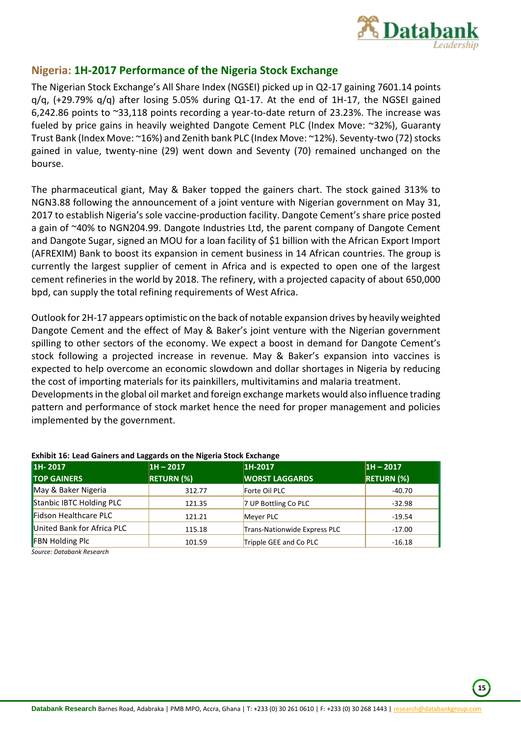

# **Nigeria: 1H-2017 Performance of the Nigeria Stock Exchange**

The Nigerian Stock Exchange's All Share Index (NGSEI) picked up in Q2-17 gaining 7601.14 points q/q, (+29.79% q/q) after losing 5.05% during Q1-17. At the end of 1H-17, the NGSEI gained 6,242.86 points to ~33,118 points recording a year-to-date return of 23.23%. The increase was fueled by price gains in heavily weighted Dangote Cement PLC (Index Move: ~32%), Guaranty Trust Bank (Index Move: ~16%) and Zenith bank PLC (Index Move: ~12%). Seventy-two (72) stocks gained in value, twenty-nine (29) went down and Seventy (70) remained unchanged on the bourse.

The pharmaceutical giant, May & Baker topped the gainers chart. The stock gained 313% to NGN3.88 following the announcement of a joint venture with Nigerian government on May 31, 2017 to establish Nigeria's sole vaccine-production facility. Dangote Cement's share price posted a gain of ~40% to NGN204.99. Dangote Industries Ltd, the parent company of Dangote Cement and Dangote Sugar, signed an MOU for a loan facility of \$1 billion with the African Export Import (AFREXIM) Bank to boost its expansion in cement business in 14 African countries. The group is currently the largest supplier of cement in Africa and is expected to open one of the largest cement refineries in the world by 2018. The refinery, with a projected capacity of about 650,000 bpd, can supply the total refining requirements of West Africa.

Outlook for 2H-17 appears optimistic on the back of notable expansion drives by heavily weighted Dangote Cement and the effect of May & Baker's joint venture with the Nigerian government spilling to other sectors of the economy. We expect a boost in demand for Dangote Cement's stock following a projected increase in revenue. May & Baker's expansion into vaccines is expected to help overcome an economic slowdown and dollar shortages in Nigeria by reducing the cost of importing materials for its painkillers, multivitamins and malaria treatment.

Developments in the global oil market and foreign exchange markets would also influence trading pattern and performance of stock market hence the need for proper management and policies implemented by the government.

| 1H-2017<br><b>TOP GAINERS</b> | $1H - 2017$<br><b>RETURN (%)</b> | 1H-2017<br><b>WORST LAGGARDS</b> | $ 1H - 2017 $<br><b>RETURN (%)</b> |
|-------------------------------|----------------------------------|----------------------------------|------------------------------------|
| May & Baker Nigeria           | 312.77                           | Forte Oil PLC                    | $-40.70$                           |
| Stanbic IBTC Holding PLC      | 121.35                           | 7 UP Bottling Co PLC             | $-32.98$                           |
| Fidson Healthcare PLC         | 121.21                           | Meyer PLC                        | $-19.54$                           |
| United Bank for Africa PLC    | 115.18                           | Trans-Nationwide Express PLC     | $-17.00$                           |
| <b>FBN Holding Plc</b>        | 101.59                           | Tripple GEE and Co PLC           | $-16.18$                           |

#### **Exhibit 16: Lead Gainers and Laggards on the Nigeria Stock Exchange**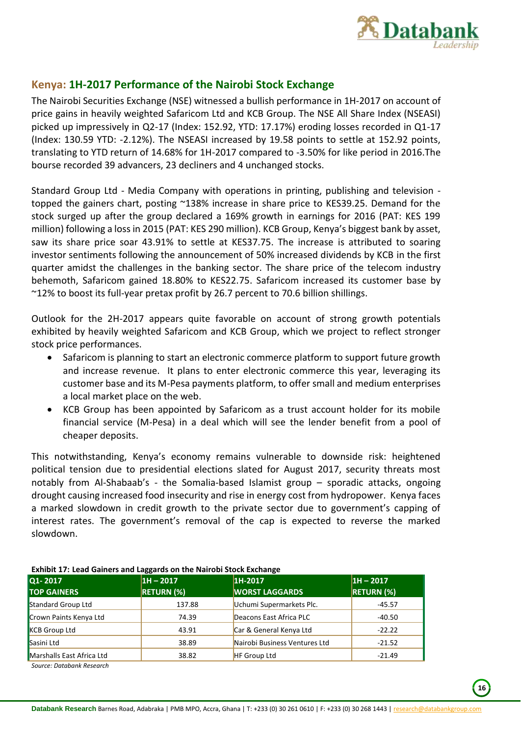

# **Kenya: 1H-2017 Performance of the Nairobi Stock Exchange**

The Nairobi Securities Exchange (NSE) witnessed a bullish performance in 1H-2017 on account of price gains in heavily weighted Safaricom Ltd and KCB Group. The NSE All Share Index (NSEASI) picked up impressively in Q2-17 (Index: 152.92, YTD: 17.17%) eroding losses recorded in Q1-17 (Index: 130.59 YTD: -2.12%). The NSEASI increased by 19.58 points to settle at 152.92 points, translating to YTD return of 14.68% for 1H-2017 compared to -3.50% for like period in 2016.The bourse recorded 39 advancers, 23 decliners and 4 unchanged stocks.

Standard Group Ltd - Media Company with operations in printing, publishing and television topped the gainers chart, posting ~138% increase in share price to KES39.25. Demand for the stock surged up after the group declared a 169% growth in earnings for 2016 (PAT: KES 199 million) following a loss in 2015 (PAT: KES 290 million). KCB Group, Kenya's biggest bank by asset, saw its share price soar 43.91% to settle at KES37.75. The increase is attributed to soaring investor sentiments following the announcement of 50% increased dividends by KCB in the first quarter amidst the challenges in the banking sector. The share price of the telecom industry behemoth, Safaricom gained 18.80% to KES22.75. Safaricom increased its customer base by ~12% to boost its full-year pretax profit by 26.7 percent to 70.6 billion shillings.

Outlook for the 2H-2017 appears quite favorable on account of strong growth potentials exhibited by heavily weighted Safaricom and KCB Group, which we project to reflect stronger stock price performances.

- Safaricom is planning to start an electronic commerce platform to support future growth and increase revenue. It plans to enter electronic commerce this year, leveraging its customer base and its M-Pesa payments platform, to offer small and medium enterprises a local market place on the web.
- KCB Group has been appointed by Safaricom as a trust account holder for its mobile financial service (M-Pesa) in a deal which will see the lender benefit from a pool of cheaper deposits.

This notwithstanding, Kenya's economy remains vulnerable to downside risk: heightened political tension due to presidential elections slated for August 2017, security threats most notably from Al-Shabaab's - the Somalia-based Islamist group – sporadic attacks, ongoing drought causing increased food insecurity and rise in energy cost from hydropower. Kenya faces a marked slowdown in credit growth to the private sector due to government's capping of interest rates. The government's removal of the cap is expected to reverse the marked slowdown.

| Q1-2017<br><b>TOP GAINERS</b> | $ 1H - 2017 $<br><b>RETURN (%)</b> | 1H-2017<br><b>WORST LAGGARDS</b> | $ 1H - 2017 $<br><b>RETURN (%)</b> |
|-------------------------------|------------------------------------|----------------------------------|------------------------------------|
| <b>Standard Group Ltd</b>     | 137.88                             | Uchumi Supermarkets Plc.         | $-45.57$                           |
| Crown Paints Kenya Ltd        | 74.39                              | Deacons East Africa PLC          | $-40.50$                           |
| <b>KCB Group Ltd</b>          | 43.91                              | Car & General Kenya Ltd          | $-22.22$                           |
| Sasini Ltd                    | 38.89                              | Nairobi Business Ventures Ltd    | $-21.52$                           |
| Marshalls East Africa Ltd     | 38.82                              | <b>HF Group Ltd</b>              | $-21.49$                           |

**Exhibit 17: Lead Gainers and Laggards on the Nairobi Stock Exchange**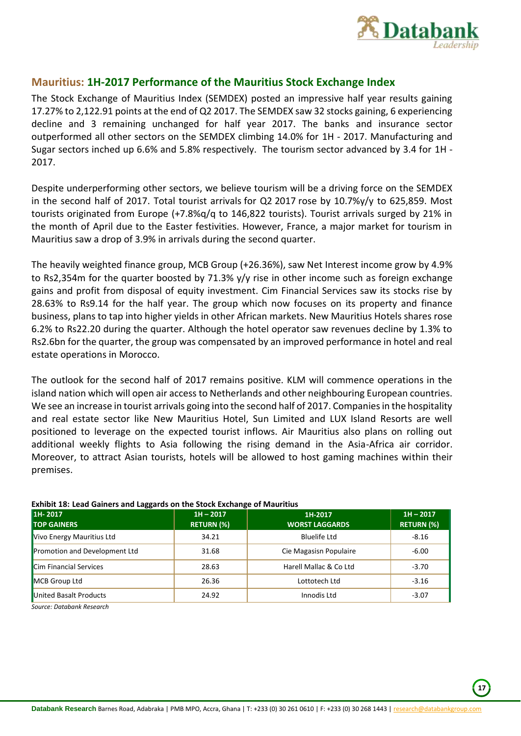

## **Mauritius: 1H-2017 Performance of the Mauritius Stock Exchange Index**

The Stock Exchange of Mauritius Index (SEMDEX) posted an impressive half year results gaining 17.27% to 2,122.91 points at the end of Q2 2017. The SEMDEX saw 32 stocks gaining, 6 experiencing decline and 3 remaining unchanged for half year 2017. The banks and insurance sector outperformed all other sectors on the SEMDEX climbing 14.0% for 1H - 2017. Manufacturing and Sugar sectors inched up 6.6% and 5.8% respectively. The tourism sector advanced by 3.4 for 1H - 2017.

Despite underperforming other sectors, we believe tourism will be a driving force on the SEMDEX in the second half of 2017. Total tourist arrivals for Q2 2017 rose by 10.7%y/y to 625,859. Most tourists originated from Europe (+7.8%q/q to 146,822 tourists). Tourist arrivals surged by 21% in the month of April due to the Easter festivities. However, France, a major market for tourism in Mauritius saw a drop of 3.9% in arrivals during the second quarter.

The heavily weighted finance group, MCB Group (+26.36%), saw Net Interest income grow by 4.9% to Rs2,354m for the quarter boosted by 71.3% y/y rise in other income such as foreign exchange gains and profit from disposal of equity investment. Cim Financial Services saw its stocks rise by 28.63% to Rs9.14 for the half year. The group which now focuses on its property and finance business, plans to tap into higher yields in other African markets. New Mauritius Hotels shares rose 6.2% to Rs22.20 during the quarter. Although the hotel operator saw revenues decline by 1.3% to Rs2.6bn for the quarter, the group was compensated by an improved performance in hotel and real estate operations in Morocco.

The outlook for the second half of 2017 remains positive. KLM will commence operations in the island nation which will open air access to Netherlands and other neighbouring European countries. We see an increase in tourist arrivals going into the second half of 2017. Companies in the hospitality and real estate sector like New Mauritius Hotel, Sun Limited and LUX Island Resorts are well positioned to leverage on the expected tourist inflows. Air Mauritius also plans on rolling out additional weekly flights to Asia following the rising demand in the Asia-Africa air corridor. Moreover, to attract Asian tourists, hotels will be allowed to host gaming machines within their premises.

| ENTIMES AUTOUR UNITER WITH ENGAN WU UIT SITU USUNT ENGINING UT INTERFERIUM |                                  |                                  |                                  |  |  |  |  |  |
|----------------------------------------------------------------------------|----------------------------------|----------------------------------|----------------------------------|--|--|--|--|--|
| 1H-2017<br><b>TOP GAINERS</b>                                              | $1H - 2017$<br><b>RETURN (%)</b> | 1H-2017<br><b>WORST LAGGARDS</b> | $1H - 2017$<br><b>RETURN (%)</b> |  |  |  |  |  |
| Vivo Energy Mauritius Ltd                                                  | 34.21                            | <b>Bluelife Ltd</b>              | $-8.16$                          |  |  |  |  |  |
| Promotion and Development Ltd                                              | 31.68                            | Cie Magasisn Populaire           | $-6.00$                          |  |  |  |  |  |
| <b>Cim Financial Services</b>                                              | 28.63                            | Harell Mallac & Co Ltd           | $-3.70$                          |  |  |  |  |  |
| MCB Group Ltd                                                              | 26.36                            | Lottotech Ltd                    | $-3.16$                          |  |  |  |  |  |
| United Basalt Products                                                     | 24.92                            | Innodis Ltd                      | $-3.07$                          |  |  |  |  |  |

#### **Exhibit 18: Lead Gainers and Laggards on the Stock Exchange of Mauritius**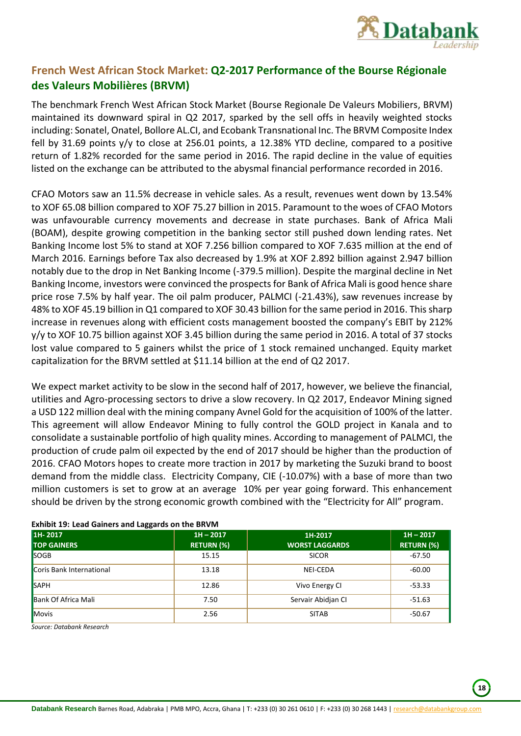

# **French West African Stock Market: Q2-2017 Performance of the Bourse Régionale des Valeurs Mobilières (BRVM)**

The benchmark French West African Stock Market (Bourse Regionale De Valeurs Mobiliers, BRVM) maintained its downward spiral in Q2 2017, sparked by the sell offs in heavily weighted stocks including: Sonatel, Onatel, Bollore AL.CI, and Ecobank Transnational Inc. The BRVM Composite Index fell by 31.69 points y/y to close at 256.01 points, a 12.38% YTD decline, compared to a positive return of 1.82% recorded for the same period in 2016. The rapid decline in the value of equities listed on the exchange can be attributed to the abysmal financial performance recorded in 2016.

CFAO Motors saw an 11.5% decrease in vehicle sales. As a result, revenues went down by 13.54% to XOF 65.08 billion compared to XOF 75.27 billion in 2015. Paramount to the woes of CFAO Motors was unfavourable currency movements and decrease in state purchases. Bank of Africa Mali (BOAM), despite growing competition in the banking sector still pushed down lending rates. Net Banking Income lost 5% to stand at XOF 7.256 billion compared to XOF 7.635 million at the end of March 2016. Earnings before Tax also decreased by 1.9% at XOF 2.892 billion against 2.947 billion notably due to the drop in Net Banking Income (-379.5 million). Despite the marginal decline in Net Banking Income, investors were convinced the prospects for Bank of Africa Mali is good hence share price rose 7.5% by half year. The oil palm producer, PALMCI (-21.43%), saw revenues increase by 48% to XOF 45.19 billion in Q1 compared to XOF 30.43 billion for the same period in 2016. This sharp increase in revenues along with efficient costs management boosted the company's EBIT by 212% y/y to XOF 10.75 billion against XOF 3.45 billion during the same period in 2016. A total of 37 stocks lost value compared to 5 gainers whilst the price of 1 stock remained unchanged. Equity market capitalization for the BRVM settled at \$11.14 billion at the end of Q2 2017.

We expect market activity to be slow in the second half of 2017, however, we believe the financial, utilities and Agro-processing sectors to drive a slow recovery. In Q2 2017, Endeavor Mining signed a USD 122 million deal with the mining company Avnel Gold for the acquisition of 100% of the latter. This agreement will allow Endeavor Mining to fully control the GOLD project in Kanala and to consolidate a sustainable portfolio of high quality mines. According to management of PALMCI, the production of crude palm oil expected by the end of 2017 should be higher than the production of 2016. CFAO Motors hopes to create more traction in 2017 by marketing the Suzuki brand to boost demand from the middle class. Electricity Company, CIE (-10.07%) with a base of more than two million customers is set to grow at an average 10% per year going forward. This enhancement should be driven by the strong economic growth combined with the "Electricity for All" program.

| 1H-2017                  | $1H - 2017$       | 1H-2017               | $1H - 2017$       |
|--------------------------|-------------------|-----------------------|-------------------|
| <b>TOP GAINERS</b>       | <b>RETURN (%)</b> | <b>WORST LAGGARDS</b> | <b>RETURN (%)</b> |
| <b>SOGB</b>              | 15.15             | <b>SICOR</b>          | $-67.50$          |
| Coris Bank International | 13.18             | NEI-CEDA              | $-60.00$          |
| <b>SAPH</b>              | 12.86             | Vivo Energy CI        | $-53.33$          |
| Bank Of Africa Mali      | 7.50              | Servair Abidian CI    | $-51.63$          |
| Movis                    | 2.56              | <b>SITAB</b>          | $-50.67$          |

#### **Exhibit 19: Lead Gainers and Laggards on the BRVM**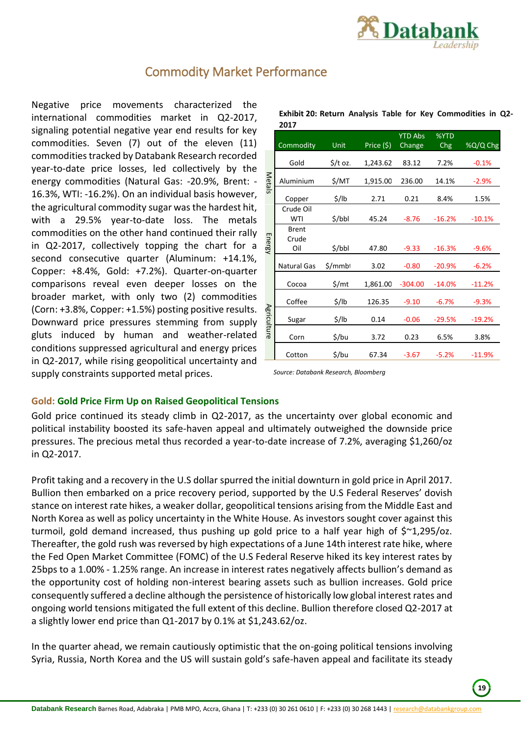

# Commodity Market Performance

<span id="page-19-0"></span>Negative price movements characterized the international commodities market in Q2-2017, signaling potential negative year end results for key commodities. Seven (7) out of the eleven (11) commodities tracked by Databank Research recorded year-to-date price losses, led collectively by the energy commodities (Natural Gas: -20.9%, Brent: - 16.3%, WTI: -16.2%). On an individual basis however, the agricultural commodity sugar was the hardest hit, with a 29.5% year-to-date loss. The metals commodities on the other hand continued their rally in Q2-2017, collectively topping the chart for a second consecutive quarter (Aluminum: +14.1%, Copper: +8.4%, Gold: +7.2%). Quarter-on-quarter comparisons reveal even deeper losses on the broader market, with only two (2) commodities (Corn: +3.8%, Copper: +1.5%) posting positive results. Downward price pressures stemming from supply gluts induced by human and weather-related conditions suppressed agricultural and energy prices in Q2-2017, while rising geopolitical uncertainty and supply constraints supported metal prices.

|               | Commodity             | Unit            | Price (\$) | <b>YTD Abs</b><br>Change | %YTD<br>Chg | %Q/Q Chg |
|---------------|-----------------------|-----------------|------------|--------------------------|-------------|----------|
| <b>Metals</b> | Gold                  | \$/t oz.        | 1,243.62   | 83.12                    | 7.2%        | $-0.1%$  |
|               | Aluminium             | \$/MT           | 1,915.00   | 236.00                   | 14.1%       | $-2.9%$  |
|               | Copper                | \$/lb           | 2.71       | 0.21                     | 8.4%        | 1.5%     |
|               | Crude Oil<br>WTI      | \$/bbl          | 45.24      | $-8.76$                  | $-16.2%$    | $-10.1%$ |
| <b>Energy</b> | <b>Brent</b><br>Crude |                 |            |                          |             |          |
|               | Oil                   | \$/bbl          | 47.80      | $-9.33$                  | $-16.3%$    | $-9.6%$  |
|               | <b>Natural Gas</b>    | \$/mmbi         | 3.02       | $-0.80$                  | $-20.9%$    | $-6.2%$  |
|               | Cocoa                 | $\frac{\xi}{m}$ | 1,861.00   | $-304.00$                | $-14.0%$    | $-11.2%$ |
|               | Coffee                | \$/lb           | 126.35     | $-9.10$                  | $-6.7%$     | $-9.3%$  |
| Agriculture   | Sugar                 | \$/lb           | 0.14       | $-0.06$                  | $-29.5%$    | $-19.2%$ |
|               | Corn                  | \$/bu           | 3.72       | 0.23                     | 6.5%        | 3.8%     |
|               | Cotton                | \$/bu           | 67.34      | $-3.67$                  | $-5.2%$     | $-11.9%$ |

**Exhibit 20: Return Analysis Table for Key Commodities in Q2- 2017**

*Source: Databank Research, Bloomberg*

#### **Gold: Gold Price Firm Up on Raised Geopolitical Tensions**

Gold price continued its steady climb in Q2-2017, as the uncertainty over global economic and political instability boosted its safe-haven appeal and ultimately outweighed the downside price pressures. The precious metal thus recorded a year-to-date increase of 7.2%, averaging \$1,260/oz in Q2-2017.

Profit taking and a recovery in the U.S dollar spurred the initial downturn in gold price in April 2017. Bullion then embarked on a price recovery period, supported by the U.S Federal Reserves' dovish stance on interest rate hikes, a weaker dollar, geopolitical tensions arising from the Middle East and North Korea as well as policy uncertainty in the White House. As investors sought cover against this turmoil, gold demand increased, thus pushing up gold price to a half year high of  $\zeta \sim 1.295/\text{oz}$ . Thereafter, the gold rush was reversed by high expectations of a June 14th interest rate hike, where the Fed Open Market Committee (FOMC) of the U.S Federal Reserve hiked its key interest rates by 25bps to a 1.00% - 1.25% range. An increase in interest rates negatively affects bullion's demand as the opportunity cost of holding non-interest bearing assets such as bullion increases. Gold price consequently suffered a decline although the persistence of historically low global interest rates and ongoing world tensions mitigated the full extent of this decline. Bullion therefore closed Q2-2017 at a slightly lower end price than Q1-2017 by 0.1% at \$1,243.62/oz.

In the quarter ahead, we remain cautiously optimistic that the on-going political tensions involving Syria, Russia, North Korea and the US will sustain gold's safe-haven appeal and facilitate its steady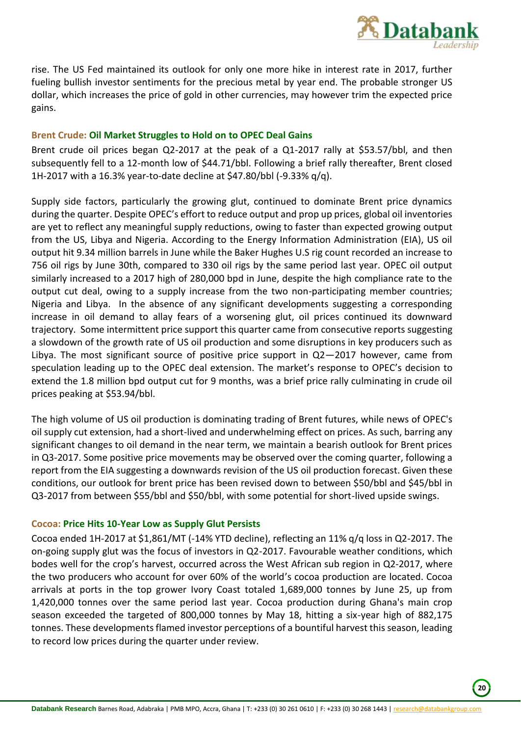

rise. The US Fed maintained its outlook for only one more hike in interest rate in 2017, further fueling bullish investor sentiments for the precious metal by year end. The probable stronger US dollar, which increases the price of gold in other currencies, may however trim the expected price gains.

### **Brent Crude: Oil Market Struggles to Hold on to OPEC Deal Gains**

Brent crude oil prices began Q2-2017 at the peak of a Q1-2017 rally at \$53.57/bbl, and then subsequently fell to a 12-month low of \$44.71/bbl. Following a brief rally thereafter, Brent closed 1H-2017 with a 16.3% year-to-date decline at \$47.80/bbl (-9.33% q/q).

Supply side factors, particularly the growing glut, continued to dominate Brent price dynamics during the quarter. Despite OPEC's effort to reduce output and prop up prices, global oil inventories are yet to reflect any meaningful supply reductions, owing to faster than expected growing output from the US, Libya and Nigeria. According to the Energy Information Administration (EIA), US oil output hit 9.34 million barrels in June while the Baker Hughes U.S rig count recorded an increase to 756 oil rigs by June 30th, compared to 330 oil rigs by the same period last year. OPEC oil output similarly increased to a 2017 high of 280,000 bpd in June, despite the high compliance rate to the output cut deal, owing to a supply increase from the two non-participating member countries; Nigeria and Libya. In the absence of any significant developments suggesting a corresponding increase in oil demand to allay fears of a worsening glut, oil prices continued its downward trajectory. Some intermittent price support this quarter came from consecutive reports suggesting a slowdown of the growth rate of US oil production and some disruptions in key producers such as Libya. The most significant source of positive price support in Q2—2017 however, came from speculation leading up to the OPEC deal extension. The market's response to OPEC's decision to extend the 1.8 million bpd output cut for 9 months, was a brief price rally culminating in crude oil prices peaking at \$53.94/bbl.

The high volume of US oil production is dominating trading of Brent futures, while news of OPEC's oil supply cut extension, had a short-lived and underwhelming effect on prices. As such, barring any significant changes to oil demand in the near term, we maintain a bearish outlook for Brent prices in Q3-2017. Some positive price movements may be observed over the coming quarter, following a report from the EIA suggesting a downwards revision of the US oil production forecast. Given these conditions, our outlook for brent price has been revised down to between \$50/bbl and \$45/bbl in Q3-2017 from between \$55/bbl and \$50/bbl, with some potential for short-lived upside swings.

## **Cocoa: Price Hits 10-Year Low as Supply Glut Persists**

Cocoa ended 1H-2017 at \$1,861/MT (-14% YTD decline), reflecting an 11% q/q loss in Q2-2017. The on-going supply glut was the focus of investors in Q2-2017. Favourable weather conditions, which bodes well for the crop's harvest, occurred across the West African sub region in Q2-2017, where the two producers who account for over 60% of the world's cocoa production are located. Cocoa arrivals at ports in the top grower Ivory Coast totaled 1,689,000 tonnes by June 25, up from 1,420,000 tonnes over the same period last year. Cocoa production during Ghana's main crop season exceeded the targeted of 800,000 tonnes by May 18, hitting a six-year high of 882,175 tonnes. These developments flamed investor perceptions of a bountiful harvest this season, leading to record low prices during the quarter under review.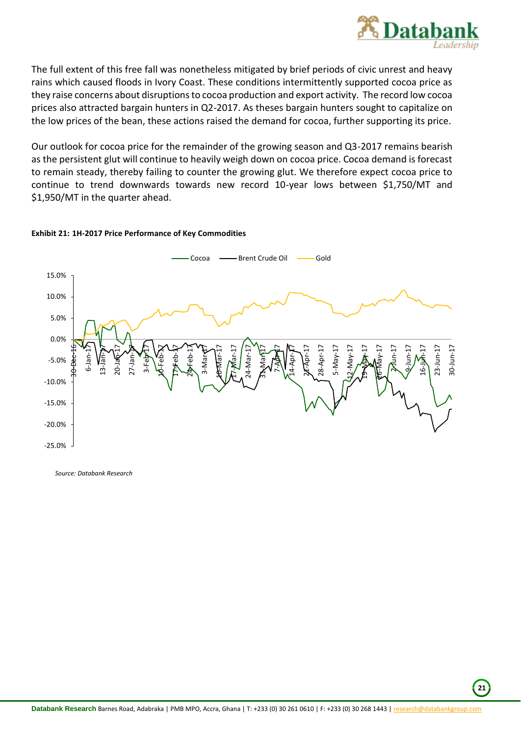

The full extent of this free fall was nonetheless mitigated by brief periods of civic unrest and heavy rains which caused floods in Ivory Coast. These conditions intermittently supported cocoa price as they raise concerns about disruptions to cocoa production and export activity. The record low cocoa prices also attracted bargain hunters in Q2-2017. As theses bargain hunters sought to capitalize on the low prices of the bean, these actions raised the demand for cocoa, further supporting its price.

Our outlook for cocoa price for the remainder of the growing season and Q3-2017 remains bearish as the persistent glut will continue to heavily weigh down on cocoa price. Cocoa demand is forecast to remain steady, thereby failing to counter the growing glut. We therefore expect cocoa price to continue to trend downwards towards new record 10-year lows between \$1,750/MT and \$1,950/MT in the quarter ahead.



#### **Exhibit 21: 1H-2017 Price Performance of Key Commodities**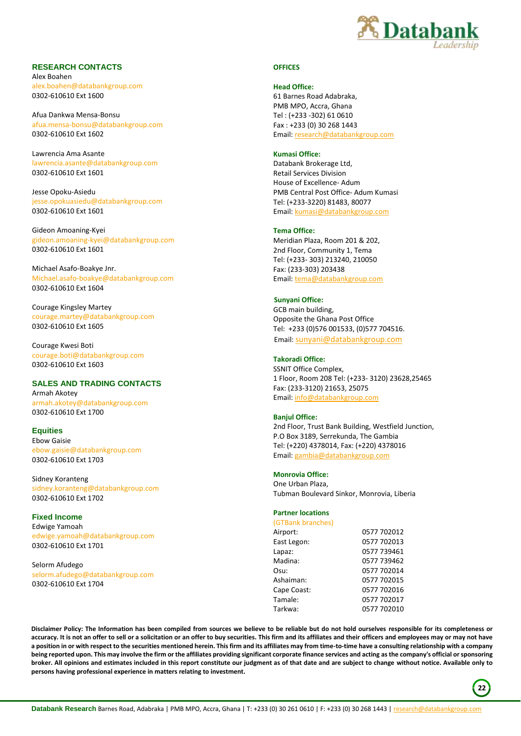

#### **RESEARCH CONTACTS RESEARC**<br>Alex Boahen

alex.boahen@databankgroup.com 0302-610610 Ext 1600

Afua Dankwa Mensa-Bonsu afua.mensa-bonsu@databankgroup.com afua.mensa-bonsu@da<br>0302-610610 Ext 1602

Lawrencia Ama Asante<br>Jawrencia asante@dat lawrencia.asante@databankgroup.com 0302-610610 Ext 1601

Jesse Opoku-Asiedu jesse.opokuasiedu@databankgroup.com 0302-610610 Ext 1601

Gideon Amoaning-Kyei gideon.amoaning-kyei@databankgroup.com<br>0302-610610 Ext 1601 0302-610610 Ext 1601

Michael Asafo-Boakye Jnr. Michael.asafo-boakye@databankgroup.com 0302-610610 Ext 1604

Courage Kingsley Martey courage.martey@databankgroup.com 0302-610610 Ext 1605

Courage Kwesi Boti courage.boti@databankgroup.com 0302-610610 Ext 1603

#### **SALES AND TRADING CONTACTS**

Armah Akotey armah.akotey@databankgroup.com 0302-610610 Ext 1700

**Equities** Ebow Gaisie ebow.gaisie@databankgroup.com 0302-610610 Ext 1703

Sidney Koranteng sidney.koranteng@databankgroup.com 0302-610610 Ext 1702

**Fixed Income** Edwige Yamoah edwige.yamoah@databankgroup.com 0302-610610 Ext 1701

Selorm Afudego selorm.afudego@databankgroup.com 0302-610610 Ext 1704

#### **OFFICES**

#### **Head Office:**

61 Barnes Road Adabraka, PMB MPO, Accra, Ghana Tel : (+233 -302) 61 0610 Fax : +233 (0) 30 268 1443 Email[: research@databankgroup.com](mailto:research@databankgroup.com)

#### **Kumasi Office:**

Databank Brokerage Ltd, Retail Services Division House of Excellence- Adum PMB Central Post Office- Adum Kumasi Tel: (+233-3220) 81483, 80077 Email[: kumasi@databankgroup.com](mailto:kumasi@databankgroup.com)

#### **Tema Office:**

Meridian Plaza, Room 201 & 202, 2nd Floor, Community 1, Tema Tel: (+233- 303) 213240, 210050 Fax: (233-303) 203438 Email[: tema@databankgroup.com](mailto:tema@databankgroup.com)

#### **Sunyani Office:**

GCB main building, Opposite the Ghana Post Office Tel: +233 (0)576 001533, (0)577 704516. Email: sunyani@databankgroup.com

#### **Takoradi Office:**

SSNIT Office Complex, 1 Floor, Room 208 Tel: (+233- 3120) 23628,25465 Fax: (233-3120) 21653, 25075 Email[: info@databankgroup.com](mailto:info@databankgroup.com)

#### **Banjul Office:**

2nd Floor, Trust Bank Building, Westfield Junction, P.O Box 3189, Serrekunda, The Gambia Tel: (+220) 4378014, Fax: (+220) 4378016 Email[: gambia@databankgroup.com](mailto:gambia@databankgroup.com)

#### **Monrovia Office:**

One Urban Plaza, Tubman Boulevard Sinkor, Monrovia, Liberia

#### **Partner locations**

(GTBank branches)

| Airport:    | 0577 702012 |
|-------------|-------------|
| East Legon: | 0577 702013 |
| Lapaz:      | 0577 739461 |
| Madina:     | 0577 739462 |
| Osu:        | 0577 702014 |
| Ashaiman:   | 0577 702015 |
| Cape Coast: | 0577 702016 |
| Tamale:     | 0577 702017 |
| Tarkwa:     | 0577 702010 |
|             |             |

**Disclaimer Policy: The Information has been compiled from sources we believe to be reliable but do not hold ourselves responsible for its completeness or accuracy. It is not an offer to sell or a solicitation or an offer to buy securities. This firm and its affiliates and their officers and employees may or may not have a position in or with respect to the securities mentioned herein. This firm and its affiliates may from time-to-time have a consulting relationship with a company being reported upon. This may involve the firm or the affiliates providing significant corporate finance services and acting as the company's official or sponsoring broker. All opinions and estimates included in this report constitute our judgment as of that date and are subject to change without notice. Available only to persons having professional experience in matters relating to investment.**